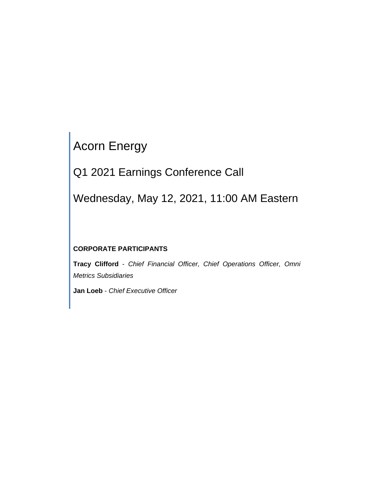# Acorn Energy

Q1 2021 Earnings Conference Call

Wednesday, May 12, 2021, 11:00 AM Eastern

# **CORPORATE PARTICIPANTS**

**Tracy Clifford** - *Chief Financial Officer, Chief Operations Officer, Omni Metrics Subsidiaries*

**Jan Loeb** - *Chief Executive Officer*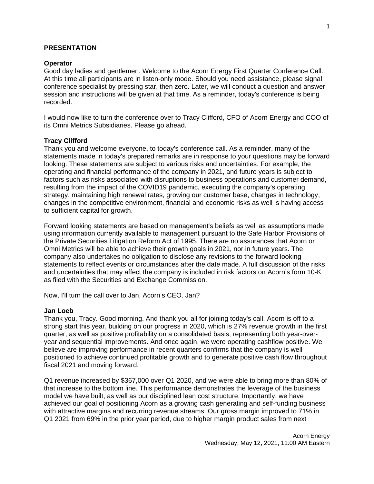#### **PRESENTATION**

#### **Operator**

Good day ladies and gentlemen. Welcome to the Acorn Energy First Quarter Conference Call. At this time all participants are in listen-only mode. Should you need assistance, please signal conference specialist by pressing star, then zero. Later, we will conduct a question and answer session and instructions will be given at that time. As a reminder, today's conference is being recorded.

I would now like to turn the conference over to Tracy Clifford, CFO of Acorn Energy and COO of its Omni Metrics Subsidiaries. Please go ahead.

#### **Tracy Clifford**

Thank you and welcome everyone, to today's conference call. As a reminder, many of the statements made in today's prepared remarks are in response to your questions may be forward looking. These statements are subject to various risks and uncertainties. For example, the operating and financial performance of the company in 2021, and future years is subject to factors such as risks associated with disruptions to business operations and customer demand, resulting from the impact of the COVID19 pandemic, executing the company's operating strategy, maintaining high renewal rates, growing our customer base, changes in technology, changes in the competitive environment, financial and economic risks as well is having access to sufficient capital for growth.

Forward looking statements are based on management's beliefs as well as assumptions made using information currently available to management pursuant to the Safe Harbor Provisions of the Private Securities Litigation Reform Act of 1995. There are no assurances that Acorn or Omni Metrics will be able to achieve their growth goals in 2021, nor in future years. The company also undertakes no obligation to disclose any revisions to the forward looking statements to reflect events or circumstances after the date made. A full discussion of the risks and uncertainties that may affect the company is included in risk factors on Acorn's form 10-K as filed with the Securities and Exchange Commission.

Now, I'll turn the call over to Jan, Acorn's CEO. Jan?

#### **Jan Loeb**

Thank you, Tracy. Good morning. And thank you all for joining today's call. Acorn is off to a strong start this year, building on our progress in 2020, which is 27% revenue growth in the first quarter, as well as positive profitability on a consolidated basis, representing both year-overyear and sequential improvements. And once again, we were operating cashflow positive. We believe are improving performance in recent quarters confirms that the company is well positioned to achieve continued profitable growth and to generate positive cash flow throughout fiscal 2021 and moving forward.

Q1 revenue increased by \$367,000 over Q1 2020, and we were able to bring more than 80% of that increase to the bottom line. This performance demonstrates the leverage of the business model we have built, as well as our disciplined lean cost structure. Importantly, we have achieved our goal of positioning Acorn as a growing cash generating and self-funding business with attractive margins and recurring revenue streams. Our gross margin improved to 71% in Q1 2021 from 69% in the prior year period, due to higher margin product sales from next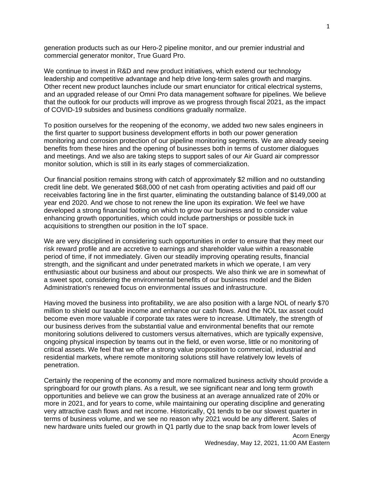generation products such as our Hero-2 pipeline monitor, and our premier industrial and commercial generator monitor, True Guard Pro.

We continue to invest in R&D and new product initiatives, which extend our technology leadership and competitive advantage and help drive long-term sales growth and margins. Other recent new product launches include our smart enunciator for critical electrical systems, and an upgraded release of our Omni Pro data management software for pipelines. We believe that the outlook for our products will improve as we progress through fiscal 2021, as the impact of COVID-19 subsides and business conditions gradually normalize.

To position ourselves for the reopening of the economy, we added two new sales engineers in the first quarter to support business development efforts in both our power generation monitoring and corrosion protection of our pipeline monitoring segments. We are already seeing benefits from these hires and the opening of businesses both in terms of customer dialogues and meetings. And we also are taking steps to support sales of our Air Guard air compressor monitor solution, which is still in its early stages of commercialization.

Our financial position remains strong with catch of approximately \$2 million and no outstanding credit line debt. We generated \$68,000 of net cash from operating activities and paid off our receivables factoring line in the first quarter, eliminating the outstanding balance of \$149,000 at year end 2020. And we chose to not renew the line upon its expiration. We feel we have developed a strong financial footing on which to grow our business and to consider value enhancing growth opportunities, which could include partnerships or possible tuck in acquisitions to strengthen our position in the IoT space.

We are very disciplined in considering such opportunities in order to ensure that they meet our risk reward profile and are accretive to earnings and shareholder value within a reasonable period of time, if not immediately. Given our steadily improving operating results, financial strength, and the significant and under penetrated markets in which we operate, I am very enthusiastic about our business and about our prospects. We also think we are in somewhat of a sweet spot, considering the environmental benefits of our business model and the Biden Administration's renewed focus on environmental issues and infrastructure.

Having moved the business into profitability, we are also position with a large NOL of nearly \$70 million to shield our taxable income and enhance our cash flows. And the NOL tax asset could become even more valuable if corporate tax rates were to increase. Ultimately, the strength of our business derives from the substantial value and environmental benefits that our remote monitoring solutions delivered to customers versus alternatives, which are typically expensive, ongoing physical inspection by teams out in the field, or even worse, little or no monitoring of critical assets. We feel that we offer a strong value proposition to commercial, industrial and residential markets, where remote monitoring solutions still have relatively low levels of penetration.

Certainly the reopening of the economy and more normalized business activity should provide a springboard for our growth plans. As a result, we see significant near and long term growth opportunities and believe we can grow the business at an average annualized rate of 20% or more in 2021, and for years to come, while maintaining our operating discipline and generating very attractive cash flows and net income. Historically, Q1 tends to be our slowest quarter in terms of business volume, and we see no reason why 2021 would be any different. Sales of new hardware units fueled our growth in Q1 partly due to the snap back from lower levels of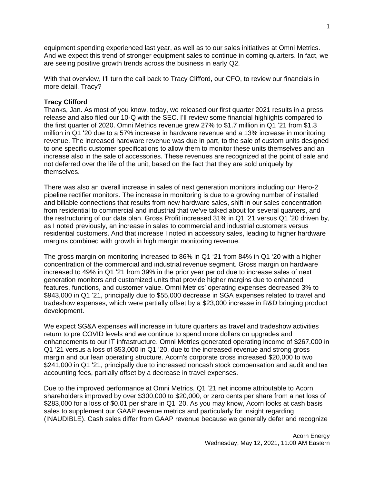equipment spending experienced last year, as well as to our sales initiatives at Omni Metrics. And we expect this trend of stronger equipment sales to continue in coming quarters. In fact, we are seeing positive growth trends across the business in early Q2.

With that overview, I'll turn the call back to Tracy Clifford, our CFO, to review our financials in more detail. Tracy?

## **Tracy Clifford**

Thanks, Jan. As most of you know, today, we released our first quarter 2021 results in a press release and also filed our 10-Q with the SEC. I'll review some financial highlights compared to the first quarter of 2020. Omni Metrics revenue grew 27% to \$1.7 million in Q1 '21 from \$1.3 million in Q1 '20 due to a 57% increase in hardware revenue and a 13% increase in monitoring revenue. The increased hardware revenue was due in part, to the sale of custom units designed to one specific customer specifications to allow them to monitor these units themselves and an increase also in the sale of accessories. These revenues are recognized at the point of sale and not deferred over the life of the unit, based on the fact that they are sold uniquely by themselves.

There was also an overall increase in sales of next generation monitors including our Hero-2 pipeline rectifier monitors. The increase in monitoring is due to a growing number of installed and billable connections that results from new hardware sales, shift in our sales concentration from residential to commercial and industrial that we've talked about for several quarters, and the restructuring of our data plan. Gross Profit increased 31% in Q1 '21 versus Q1 '20 driven by, as I noted previously, an increase in sales to commercial and industrial customers versus residential customers. And that increase I noted in accessory sales, leading to higher hardware margins combined with growth in high margin monitoring revenue.

The gross margin on monitoring increased to 86% in Q1 '21 from 84% in Q1 '20 with a higher concentration of the commercial and industrial revenue segment. Gross margin on hardware increased to 49% in Q1 '21 from 39% in the prior year period due to increase sales of next generation monitors and customized units that provide higher margins due to enhanced features, functions, and customer value. Omni Metrics' operating expenses decreased 3% to \$943,000 in Q1 '21, principally due to \$55,000 decrease in SGA expenses related to travel and tradeshow expenses, which were partially offset by a \$23,000 increase in R&D bringing product development.

We expect SG&A expenses will increase in future quarters as travel and tradeshow activities return to pre COVID levels and we continue to spend more dollars on upgrades and enhancements to our IT infrastructure. Omni Metrics generated operating income of \$267,000 in Q1 '21 versus a loss of \$53,000 in Q1 '20, due to the increased revenue and strong gross margin and our lean operating structure. Acorn's corporate cross increased \$20,000 to two \$241,000 in Q1 '21, principally due to increased noncash stock compensation and audit and tax accounting fees, partially offset by a decrease in travel expenses.

Due to the improved performance at Omni Metrics, Q1 '21 net income attributable to Acorn shareholders improved by over \$300,000 to \$20,000, or zero cents per share from a net loss of \$283,000 for a loss of \$0.01 per share in Q1 '20. As you may know, Acorn looks at cash basis sales to supplement our GAAP revenue metrics and particularly for insight regarding (INAUDIBLE). Cash sales differ from GAAP revenue because we generally defer and recognize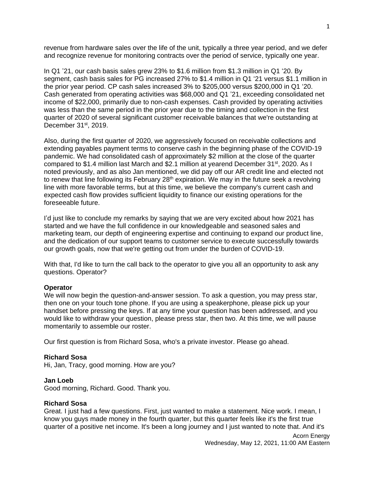revenue from hardware sales over the life of the unit, typically a three year period, and we defer and recognize revenue for monitoring contracts over the period of service, typically one year.

In Q1 '21, our cash basis sales grew 23% to \$1.6 million from \$1.3 million in Q1 '20. By segment, cash basis sales for PG increased 27% to \$1.4 million in Q1 '21 versus \$1.1 million in the prior year period. CP cash sales increased 3% to \$205,000 versus \$200,000 in Q1 '20. Cash generated from operating activities was \$68,000 and Q1 '21, exceeding consolidated net income of \$22,000, primarily due to non-cash expenses. Cash provided by operating activities was less than the same period in the prior year due to the timing and collection in the first quarter of 2020 of several significant customer receivable balances that we're outstanding at December 31<sup>st</sup>, 2019.

Also, during the first quarter of 2020, we aggressively focused on receivable collections and extending payables payment terms to conserve cash in the beginning phase of the COVID-19 pandemic. We had consolidated cash of approximately \$2 million at the close of the quarter compared to \$1.4 million last March and \$2.1 million at yearend December 31<sup>st</sup>, 2020. As I noted previously, and as also Jan mentioned, we did pay off our AR credit line and elected not to renew that line following its February  $28<sup>th</sup>$  expiration. We may in the future seek a revolving line with more favorable terms, but at this time, we believe the company's current cash and expected cash flow provides sufficient liquidity to finance our existing operations for the foreseeable future.

I'd just like to conclude my remarks by saying that we are very excited about how 2021 has started and we have the full confidence in our knowledgeable and seasoned sales and marketing team, our depth of engineering expertise and continuing to expand our product line, and the dedication of our support teams to customer service to execute successfully towards our growth goals, now that we're getting out from under the burden of COVID-19.

With that, I'd like to turn the call back to the operator to give you all an opportunity to ask any questions. Operator?

#### **Operator**

We will now begin the question-and-answer session. To ask a question, you may press star, then one on your touch tone phone. If you are using a speakerphone, please pick up your handset before pressing the keys. If at any time your question has been addressed, and you would like to withdraw your question, please press star, then two. At this time, we will pause momentarily to assemble our roster.

Our first question is from Richard Sosa, who's a private investor. Please go ahead.

#### **Richard Sosa**

Hi, Jan, Tracy, good morning. How are you?

#### **Jan Loeb**

Good morning, Richard. Good. Thank you.

#### **Richard Sosa**

Great. I just had a few questions. First, just wanted to make a statement. Nice work. I mean, I know you guys made money in the fourth quarter, but this quarter feels like it's the first true quarter of a positive net income. It's been a long journey and I just wanted to note that. And it's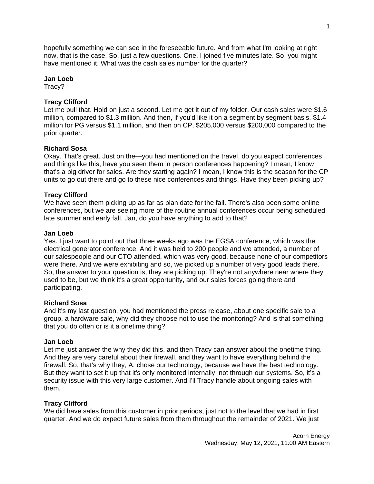hopefully something we can see in the foreseeable future. And from what I'm looking at right now, that is the case. So, just a few questions. One, I joined five minutes late. So, you might have mentioned it. What was the cash sales number for the quarter?

## **Jan Loeb**

Tracy?

# **Tracy Clifford**

Let me pull that. Hold on just a second. Let me get it out of my folder. Our cash sales were \$1.6 million, compared to \$1.3 million. And then, if you'd like it on a segment by segment basis, \$1.4 million for PG versus \$1.1 million, and then on CP, \$205,000 versus \$200,000 compared to the prior quarter.

# **Richard Sosa**

Okay. That's great. Just on the—you had mentioned on the travel, do you expect conferences and things like this, have you seen them in person conferences happening? I mean, I know that's a big driver for sales. Are they starting again? I mean, I know this is the season for the CP units to go out there and go to these nice conferences and things. Have they been picking up?

# **Tracy Clifford**

We have seen them picking up as far as plan date for the fall. There's also been some online conferences, but we are seeing more of the routine annual conferences occur being scheduled late summer and early fall. Jan, do you have anything to add to that?

## **Jan Loeb**

Yes. I just want to point out that three weeks ago was the EGSA conference, which was the electrical generator conference. And it was held to 200 people and we attended, a number of our salespeople and our CTO attended, which was very good, because none of our competitors were there. And we were exhibiting and so, we picked up a number of very good leads there. So, the answer to your question is, they are picking up. They're not anywhere near where they used to be, but we think it's a great opportunity, and our sales forces going there and participating.

## **Richard Sosa**

And it's my last question, you had mentioned the press release, about one specific sale to a group, a hardware sale, why did they choose not to use the monitoring? And is that something that you do often or is it a onetime thing?

## **Jan Loeb**

Let me just answer the why they did this, and then Tracy can answer about the onetime thing. And they are very careful about their firewall, and they want to have everything behind the firewall. So, that's why they, A, chose our technology, because we have the best technology. But they want to set it up that it's only monitored internally, not through our systems. So, it's a security issue with this very large customer. And I'll Tracy handle about ongoing sales with them.

## **Tracy Clifford**

We did have sales from this customer in prior periods, just not to the level that we had in first quarter. And we do expect future sales from them throughout the remainder of 2021. We just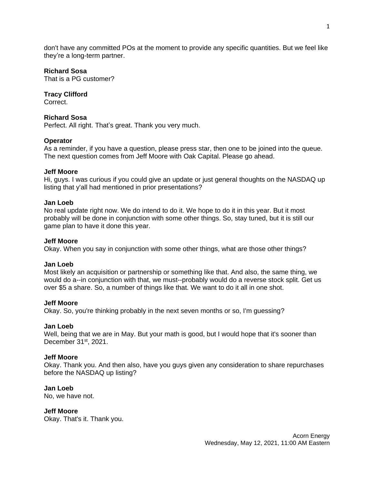don't have any committed POs at the moment to provide any specific quantities. But we feel like they're a long-term partner.

## **Richard Sosa**

That is a PG customer?

# **Tracy Clifford**

Correct.

## **Richard Sosa**

Perfect. All right. That's great. Thank you very much.

## **Operator**

As a reminder, if you have a question, please press star, then one to be joined into the queue. The next question comes from Jeff Moore with Oak Capital. Please go ahead.

# **Jeff Moore**

Hi, guys. I was curious if you could give an update or just general thoughts on the NASDAQ up listing that y'all had mentioned in prior presentations?

## **Jan Loeb**

No real update right now. We do intend to do it. We hope to do it in this year. But it most probably will be done in conjunction with some other things. So, stay tuned, but it is still our game plan to have it done this year.

## **Jeff Moore**

Okay. When you say in conjunction with some other things, what are those other things?

## **Jan Loeb**

Most likely an acquisition or partnership or something like that. And also, the same thing, we would do a--in conjunction with that, we must--probably would do a reverse stock split. Get us over \$5 a share. So, a number of things like that. We want to do it all in one shot.

## **Jeff Moore**

Okay. So, you're thinking probably in the next seven months or so, I'm guessing?

## **Jan Loeb**

Well, being that we are in May. But your math is good, but I would hope that it's sooner than December 31<sup>st</sup>, 2021.

## **Jeff Moore**

Okay. Thank you. And then also, have you guys given any consideration to share repurchases before the NASDAQ up listing?

# **Jan Loeb**

No, we have not.

## **Jeff Moore**

Okay. That's it. Thank you.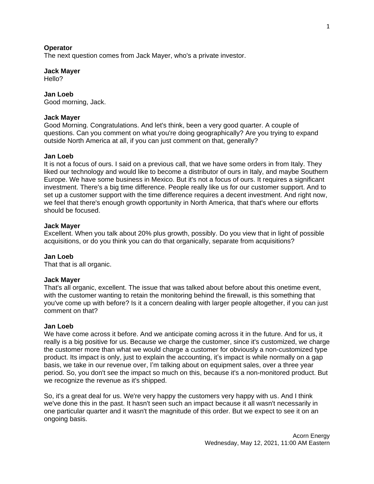#### **Operator**

The next question comes from Jack Mayer, who's a private investor.

#### **Jack Mayer**

Hello?

# **Jan Loeb**

Good morning, Jack.

#### **Jack Mayer**

Good Morning. Congratulations. And let's think, been a very good quarter. A couple of questions. Can you comment on what you're doing geographically? Are you trying to expand outside North America at all, if you can just comment on that, generally?

#### **Jan Loeb**

It is not a focus of ours. I said on a previous call, that we have some orders in from Italy. They liked our technology and would like to become a distributor of ours in Italy, and maybe Southern Europe. We have some business in Mexico. But it's not a focus of ours. It requires a significant investment. There's a big time difference. People really like us for our customer support. And to set up a customer support with the time difference requires a decent investment. And right now, we feel that there's enough growth opportunity in North America, that that's where our efforts should be focused.

#### **Jack Mayer**

Excellent. When you talk about 20% plus growth, possibly. Do you view that in light of possible acquisitions, or do you think you can do that organically, separate from acquisitions?

## **Jan Loeb**

That that is all organic.

#### **Jack Mayer**

That's all organic, excellent. The issue that was talked about before about this onetime event, with the customer wanting to retain the monitoring behind the firewall, is this something that you've come up with before? Is it a concern dealing with larger people altogether, if you can just comment on that?

## **Jan Loeb**

We have come across it before. And we anticipate coming across it in the future. And for us, it really is a big positive for us. Because we charge the customer, since it's customized, we charge the customer more than what we would charge a customer for obviously a non-customized type product. Its impact is only, just to explain the accounting, it's impact is while normally on a gap basis, we take in our revenue over, I'm talking about on equipment sales, over a three year period. So, you don't see the impact so much on this, because it's a non-monitored product. But we recognize the revenue as it's shipped.

So, it's a great deal for us. We're very happy the customers very happy with us. And I think we've done this in the past. It hasn't seen such an impact because it all wasn't necessarily in one particular quarter and it wasn't the magnitude of this order. But we expect to see it on an ongoing basis.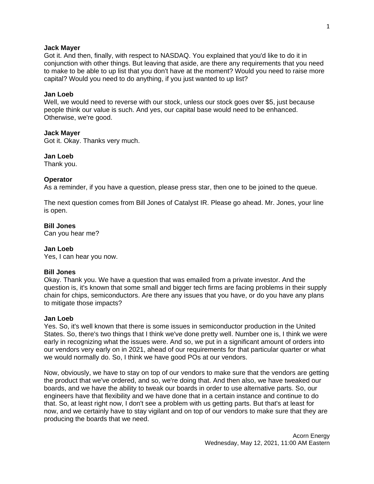#### **Jack Mayer**

Got it. And then, finally, with respect to NASDAQ. You explained that you'd like to do it in conjunction with other things. But leaving that aside, are there any requirements that you need to make to be able to up list that you don't have at the moment? Would you need to raise more capital? Would you need to do anything, if you just wanted to up list?

## **Jan Loeb**

Well, we would need to reverse with our stock, unless our stock goes over \$5, just because people think our value is such. And yes, our capital base would need to be enhanced. Otherwise, we're good.

#### **Jack Mayer**

Got it. Okay. Thanks very much.

#### **Jan Loeb**

Thank you.

#### **Operator**

As a reminder, if you have a question, please press star, then one to be joined to the queue.

The next question comes from Bill Jones of Catalyst IR. Please go ahead. Mr. Jones, your line is open.

## **Bill Jones**

Can you hear me?

## **Jan Loeb**

Yes, I can hear you now.

## **Bill Jones**

Okay. Thank you. We have a question that was emailed from a private investor. And the question is, it's known that some small and bigger tech firms are facing problems in their supply chain for chips, semiconductors. Are there any issues that you have, or do you have any plans to mitigate those impacts?

#### **Jan Loeb**

Yes. So, it's well known that there is some issues in semiconductor production in the United States. So, there's two things that I think we've done pretty well. Number one is, I think we were early in recognizing what the issues were. And so, we put in a significant amount of orders into our vendors very early on in 2021, ahead of our requirements for that particular quarter or what we would normally do. So, I think we have good POs at our vendors.

Now, obviously, we have to stay on top of our vendors to make sure that the vendors are getting the product that we've ordered, and so, we're doing that. And then also, we have tweaked our boards, and we have the ability to tweak our boards in order to use alternative parts. So, our engineers have that flexibility and we have done that in a certain instance and continue to do that. So, at least right now, I don't see a problem with us getting parts. But that's at least for now, and we certainly have to stay vigilant and on top of our vendors to make sure that they are producing the boards that we need.